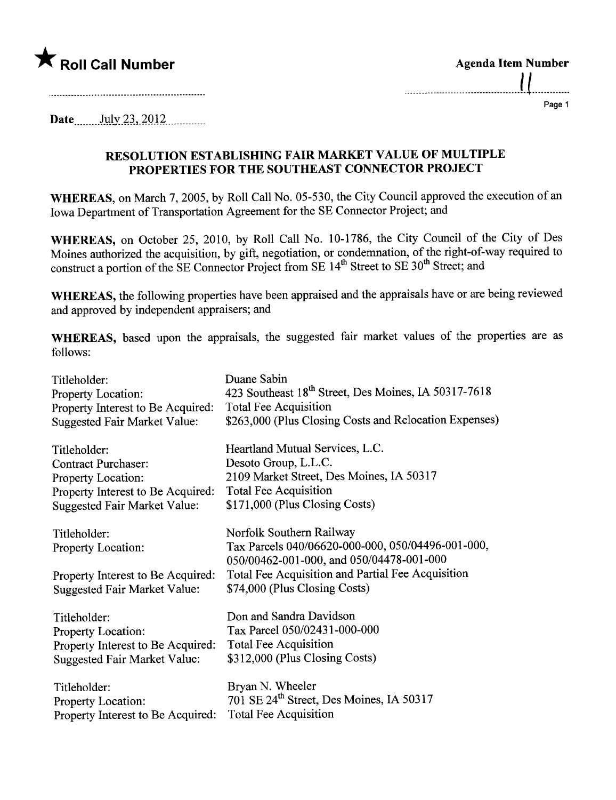

| <b>Agenda Item Number</b> |  |
|---------------------------|--|
|                           |  |
|                           |  |

Page 1

Date \_\_\_\_\_\_\_ July 23, 2012

## RESOLUTION ESTABLISHING FAIR MARKET VALUE OF MULTIPLE PROPERTIES FOR THE SOUTHEAST CONNECTOR PROJECT

WHEREAS, on March 7, 2005, by Roll Call No. 05-530, the City Council approved the execution of an Iowa Department of Transportation Agreement for the SE Connector Project; and

WHEREAS, on October 25, 2010, by Roll Call No. 10-1786, the City Council of the City of Des Moines authorized the acquisition, by gift, negotiation, or condemnation, of the right-of-way required to construct a portion of the SE Connector Project from SE 14<sup>th</sup> Street to SE 30<sup>th</sup> Street; and

WHEREAS, the following properties have been appraised and the appraisals have or are being reviewed and approved by independent appraisers; and

WHEREAS, based upon the appraisals, the suggested fair market values of the properties are as follows:

| Titleholder:                                                                                                   | Duane Sabin                                                                                                                                                                                                     |
|----------------------------------------------------------------------------------------------------------------|-----------------------------------------------------------------------------------------------------------------------------------------------------------------------------------------------------------------|
| Property Location:                                                                                             | 423 Southeast 18 <sup>th</sup> Street, Des Moines, IA 50317-7618                                                                                                                                                |
| Property Interest to Be Acquired:                                                                              | <b>Total Fee Acquisition</b>                                                                                                                                                                                    |
| <b>Suggested Fair Market Value:</b>                                                                            | \$263,000 (Plus Closing Costs and Relocation Expenses)                                                                                                                                                          |
| Titleholder:                                                                                                   | Heartland Mutual Services, L.C.                                                                                                                                                                                 |
| <b>Contract Purchaser:</b>                                                                                     | Desoto Group, L.L.C.                                                                                                                                                                                            |
| Property Location:                                                                                             | 2109 Market Street, Des Moines, IA 50317                                                                                                                                                                        |
| Property Interest to Be Acquired:                                                                              | <b>Total Fee Acquisition</b>                                                                                                                                                                                    |
| <b>Suggested Fair Market Value:</b>                                                                            | \$171,000 (Plus Closing Costs)                                                                                                                                                                                  |
| Titleholder:<br>Property Location:<br>Property Interest to Be Acquired:<br><b>Suggested Fair Market Value:</b> | Norfolk Southern Railway<br>Tax Parcels 040/06620-000-000, 050/04496-001-000,<br>050/00462-001-000, and 050/04478-001-000<br>Total Fee Acquisition and Partial Fee Acquisition<br>\$74,000 (Plus Closing Costs) |
| Titleholder:                                                                                                   | Don and Sandra Davidson                                                                                                                                                                                         |
| Property Location:                                                                                             | Tax Parcel 050/02431-000-000                                                                                                                                                                                    |
| Property Interest to Be Acquired:                                                                              | <b>Total Fee Acquisition</b>                                                                                                                                                                                    |
| <b>Suggested Fair Market Value:</b>                                                                            | \$312,000 (Plus Closing Costs)                                                                                                                                                                                  |
| Titleholder:                                                                                                   | Bryan N. Wheeler                                                                                                                                                                                                |
| Property Location:                                                                                             | 701 SE 24 <sup>th</sup> Street, Des Moines, IA 50317                                                                                                                                                            |
| Property Interest to Be Acquired:                                                                              | <b>Total Fee Acquisition</b>                                                                                                                                                                                    |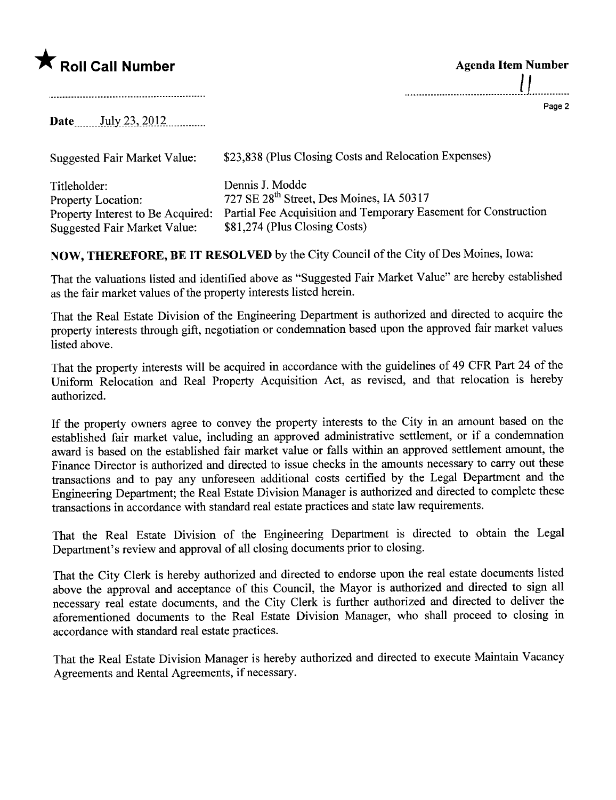## $\bigstar$  Roll Call Number

| <b>Agenda Item Number</b> |  |
|---------------------------|--|
|                           |  |
|                           |  |

Page 2

Date \_\_\_\_\_\_ July 23, 2012

Suggested Fair Market Value: \$23,838 (Plus Closing Costs and Relocation Expenses)

Titleholder: Property Location: Property Interest to Be Acquired: Partial Fee Acquisition and Temporary Easement for Construction Suggested Fair Market Value: Dennis J. Modde 727 SE 28th Street, Des Moines, IA 50317 \$81,274 (Plus Closing Costs)

NOW, THEREFORE, BE IT RESOLVED by the City Council of the City of Des Moines, Iowa:

That the valuations listed and identified above as "Suggested Fair Market Value" are hereby established as the fair market values of the property interests listed herein.

That the Real Estate Division of the Engineering Department is authorized and directed to acquire the property interests through gift, negotiation or condemnation based upon the approved fair market values listed above.

That the property interests will be acquired in accordance with the guidelines of 49 CFR Part 24 of the Uniform Relocation and Real Property Acquisition Act, as revised, and that relocation is hereby authorized.

If the property owners agree to convey the property interests to the City in an amount based on the established fair market value, including an approved administrative settlement, or if a condemnation award is based on the established fair market value or falls within an approved settlement amount, the Finance Director is authorized and directed to issue checks in the amounts necessary to cary out these transactions and to pay any unforeseen additional costs certified by the Legal Department and the Engineering Deparment; the Real Estate Division Manager is authorized and directed to complete these transactions in accordance with standard real estate practices and state law requirements.

That the Real Estate Division of the Engineering Deparment is directed to obtain the Legal Deparment's review and approval of all closing documents prior to closing.

That the City Clerk is hereby authorized and directed to endorse upon the real estate documents listed above the approval and acceptance of this Council, the Mayor is authorized and directed to sign all necessary real estate documents, and the City Clerk is further authorized and directed to deliver the aforementioned documents to the Real Estate Division Manager, who shall proceed to closing in accordance with standard real estate practices.

That the Real Estate Division Manager is hereby authorized and directed to execute Maintain Vacancy Agreements and Rental Agreements, if necessary.